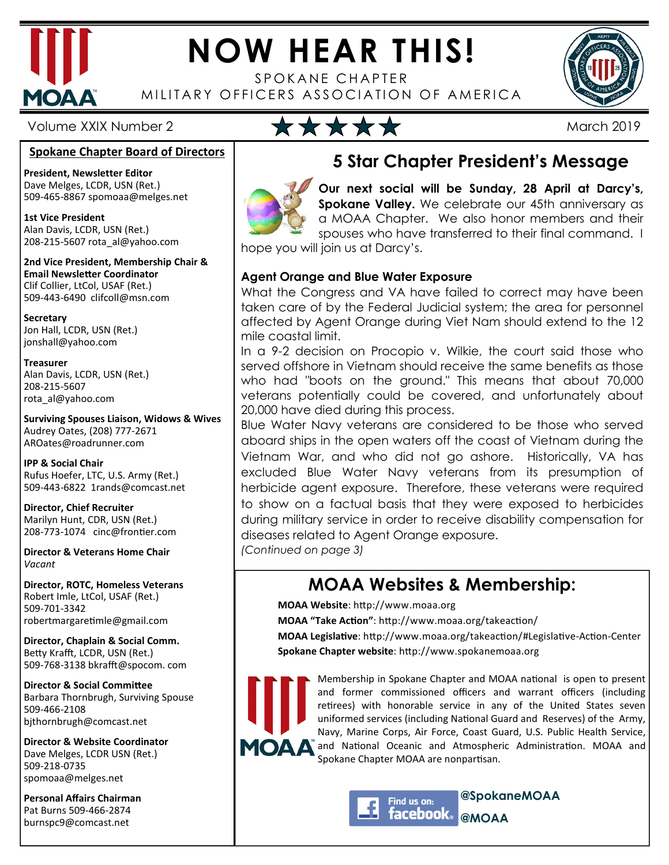

## **NOW HEAR THIS!**

SPOKANE CHAPTER MILITARY OFFICERS ASSOCIATION OF AMERICA



#### **Spokane Chapter Board of Directors**

**President, Newsletter Editor**  Dave Melges, LCDR, USN (Ret.) 509-465-8867 spomoaa@melges.net

**1st Vice President**  Alan Davis, LCDR, USN (Ret.) 208-215-5607 rota\_al@yahoo.com

**2nd Vice President, Membership Chair & Email Newsletter Coordinator** Clif Collier, LtCol, USAF (Ret.) 509-443-6490 clifcoll@msn.com

**Secretary**  Jon Hall, LCDR, USN (Ret.) jonshall@yahoo.com

**Treasurer**  Alan Davis, LCDR, USN (Ret.) 208-215-5607 rota\_al@yahoo.com

**Surviving Spouses Liaison, Widows & Wives**  Audrey Oates, (208) 777-2671 AROates@roadrunner.com

**IPP & Social Chair**  Rufus Hoefer, LTC, U.S. Army (Ret.) 509-443-6822 1rands@comcast.net

**Director, Chief Recruiter**  Marilyn Hunt, CDR, USN (Ret.) 208-773-1074 cinc@frontier.com

**Director & Veterans Home Chair**  *Vacant* 

**Director, ROTC, Homeless Veterans**  Robert Imle, LtCol, USAF (Ret.) 509-701-3342 robertmargaretimle@gmail.com

**Director, Chaplain & Social Comm.** Betty Krafft, LCDR, USN (Ret.) 509-768-3138 bkrafft@spocom. com

**Director & Social Committee** Barbara Thornbrugh, Surviving Spouse 509-466-2108 bjthornbrugh@comcast.net

**Director & Website Coordinator**  Dave Melges, LCDR USN (Ret.) 509-218-0735 spomoaa@melges.net

**Personal Affairs Chairman**  Pat Burns 509-466-2874 burnspc9@comcast.net



#### **5 Star Chapter President's Message**

**Our next social will be Sunday, 28 April at Darcy's, Spokane Valley.** We celebrate our 45th anniversary as a MOAA Chapter. We also honor members and their spouses who have transferred to their final command. I

hope you will join us at Darcy's.

#### **Agent Orange and Blue Water Exposure**

What the Congress and VA have failed to correct may have been taken care of by the Federal Judicial system; the area for personnel affected by Agent Orange during Viet Nam should extend to the 12 mile coastal limit.

In a 9-2 decision on Procopio v. Wilkie, the court said those who served offshore in Vietnam should receive the same benefits as those who had "boots on the ground." This means that about 70,000 veterans potentially could be covered, and unfortunately about 20,000 have died during this process.

Blue Water Navy veterans are considered to be those who served aboard ships in the open waters off the coast of Vietnam during the Vietnam War, and who did not go ashore. Historically, VA has excluded Blue Water Navy veterans from its presumption of herbicide agent exposure. Therefore, these veterans were required to show on a factual basis that they were exposed to herbicides during military service in order to receive disability compensation for diseases related to Agent Orange exposure.

*(Continued on page 3)* 

#### **MOAA Websites & Membership:**

**MOAA Website: http://www.moaa.org** 

**MOAA "Take Action"**: http://www.moaa.org/takeaction/

**MOAA Legislative**: http://www.moaa.org/takeaction/#Legislative-Action-Center **Spokane Chapter website: http://www.spokanemoaa.org** 



Membership in Spokane Chapter and MOAA national is open to present and former commissioned officers and warrant officers (including retirees) with honorable service in any of the United States seven uniformed services (including National Guard and Reserves) of the Army, Navy, Marine Corps, Air Force, Coast Guard, U.S. Public Health Service, and National Oceanic and Atmospheric Administration. MOAA and Spokane Chapter MOAA are nonpartisan.



**@SpokaneMOAA @MOAA**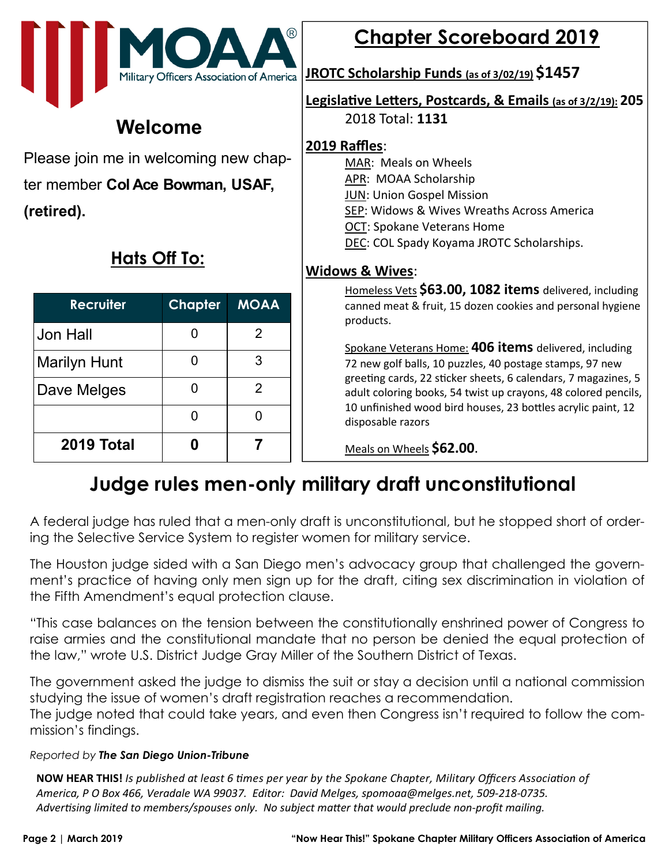

#### **Welcome**

Please join me in welcoming new chapter member **Col Ace Bowman, USAF, (retired).** 

#### **Hats Off To:**

| <b>Recruiter</b>    | <b>Chapter</b> | <b>MOAA</b> |
|---------------------|----------------|-------------|
| Jon Hall            |                | 2           |
| <b>Marilyn Hunt</b> |                | 3           |
| Dave Melges         |                | 2           |
|                     | O              |             |
| 2019 Total          |                |             |

#### **Chapter Scoreboard 2019**

**JROTC Scholarship Funds (as of 3/02/19) \$1457**

#### **Legislative Letters, Postcards, & Emails (as of 3/2/19): 205**

2018 Total: **1131**

#### **2019 Raffles**:

- MAR: Meals on Wheels
- APR: MOAA Scholarship
- JUN: Union Gospel Mission
- SEP: Widows & Wives Wreaths Across America
- OCT: Spokane Veterans Home
- DEC: COL Spady Koyama JROTC Scholarships.

#### **Widows & Wives**:

Homeless Vets **\$63.00, 1082 items** delivered, including canned meat & fruit, 15 dozen cookies and personal hygiene products.

Spokane Veterans Home: **406 items** delivered, including 72 new golf balls, 10 puzzles, 40 postage stamps, 97 new greeting cards, 22 sticker sheets, 6 calendars, 7 magazines, 5 adult coloring books, 54 twist up crayons, 48 colored pencils, 10 unfinished wood bird houses, 23 bottles acrylic paint, 12 disposable razors

Meals on Wheels **\$62.00**.

#### **Judge rules men-only military draft unconstitutional**

A federal judge has ruled that a men-only draft is unconstitutional, but he stopped short of ordering the Selective Service System to register women for military service.

The Houston judge sided with a San Diego men's advocacy group that challenged the government's practice of having only men sign up for the draft, citing sex discrimination in violation of the Fifth Amendment's equal protection clause.

"This case balances on the tension between the constitutionally enshrined power of Congress to raise armies and the constitutional mandate that no person be denied the equal protection of the law," wrote U.S. District Judge Gray Miller of the Southern District of Texas.

The government asked the judge to dismiss the suit or stay a decision until a national commission studying the issue of women's draft registration reaches a recommendation. The judge noted that could take years, and even then Congress isn't required to follow the commission's findings.

#### *Reported by The San Diego Union-Tribune*

**NOW HEAR THIS!** *Is published at least 6 times per year by the Spokane Chapter, Military Officers Association of America, P O Box 466, Veradale WA 99037. Editor: David Melges, spomoaa@melges.net, 509-218-0735.*  Advertising limited to members/spouses only. No subject matter that would preclude non-profit mailing.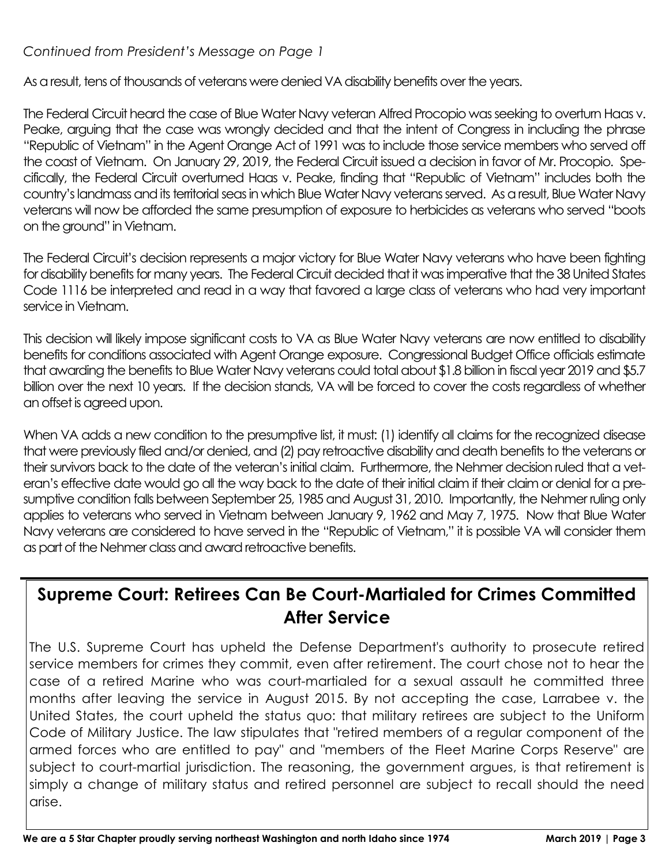#### *Continued from President's Message on Page 1*

As a result, tens of thousands of veterans were denied VA disability benefits over the years.

The Federal Circuit heard the case of Blue Water Navy veteran Alfred Procopio was seeking to overturn Haas v. Peake, arguing that the case was wrongly decided and that the intent of Congress in including the phrase "Republic of Vietnam" in the Agent Orange Act of 1991 was to include those service members who served off the coast of Vietnam. On January 29, 2019, the Federal Circuit issued a decision in favor of Mr. Procopio. Specifically, the Federal Circuit overturned Haas v. Peake, finding that "Republic of Vietnam" includes both the country's landmass and its territorial seas in which Blue Water Navy veterans served. As a result, Blue Water Navy veterans will now be afforded the same presumption of exposure to herbicides as veterans who served "boots on the ground" in Vietnam.

The Federal Circuit's decision represents a major victory for Blue Water Navy veterans who have been fighting for disability benefits for many years. The Federal Circuit decided that it was imperative that the 38 United States Code 1116 be interpreted and read in a way that favored a large class of veterans who had very important service in Vietnam.

This decision will likely impose significant costs to VA as Blue Water Navy veterans are now entitled to disability benefits for conditions associated with Agent Orange exposure. Congressional Budget Office officials estimate that awarding the benefits to Blue Water Navy veterans could total about \$1.8 billion in fiscal year 2019 and \$5.7 billion over the next 10 years. If the decision stands, VA will be forced to cover the costs regardless of whether an offset is agreed upon.

When VA adds a new condition to the presumptive list, it must: (1) identify all claims for the recognized disease that were previously filed and/or denied, and (2) pay retroactive disability and death benefits to the veterans or their survivors back to the date of the veteran's initial claim. Furthermore, the Nehmer decision ruled that a veteran's effective date would go all the way back to the date of their initial claim if their claim or denial for a presumptive condition falls between September 25, 1985 and August 31, 2010. Importantly, the Nehmer ruling only applies to veterans who served in Vietnam between January 9, 1962 and May 7, 1975. Now that Blue Water Navy veterans are considered to have served in the "Republic of Vietnam," it is possible VA will consider them as part of the Nehmer class and award retroactive benefits.

#### **Supreme Court: Retirees Can Be Court-Martialed for Crimes Committed After Service**

The U.S. Supreme Court has upheld the Defense Department's authority to prosecute retired service members for crimes they commit, even after retirement. The court chose not to hear the case of a retired Marine who was court-martialed for a sexual assault he committed three months after leaving the service in August 2015. By not accepting the case, Larrabee v. the United States, the court upheld the status quo: that military retirees are subject to the Uniform Code of Military Justice. The law stipulates that "retired members of a regular component of the armed forces who are entitled to pay" and "members of the Fleet Marine Corps Reserve" are subject to court-martial jurisdiction. The reasoning, the government argues, is that retirement is simply a change of military status and retired personnel are subject to recall should the need arise.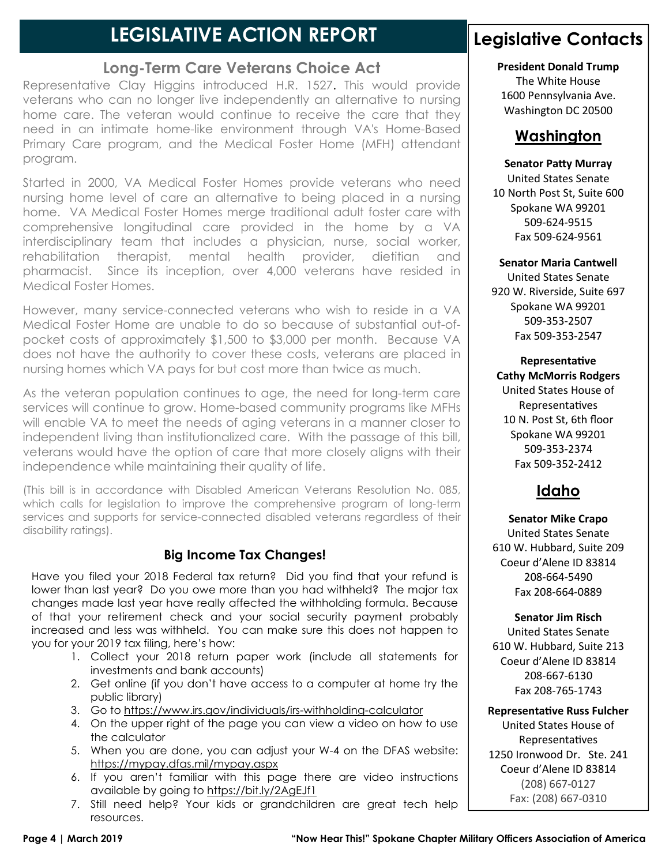#### **LEGISLATIVE ACTION REPORT**

#### **Long-Term Care Veterans Choice Act**

Representative Clay Higgins introduced H.R. 1527. This would provide veterans who can no longer live independently an alternative to nursing home care. The veteran would continue to receive the care that they need in an intimate home-like environment through VA's Home-Based Primary Care program, and the Medical Foster Home (MFH) attendant program.

Started in 2000, VA Medical Foster Homes provide veterans who need nursing home level of care an alternative to being placed in a nursing home. VA Medical Foster Homes merge traditional adult foster care with comprehensive longitudinal care provided in the home by a VA interdisciplinary team that includes a physician, nurse, social worker, rehabilitation therapist, mental health provider, dietitian and pharmacist. Since its inception, over 4,000 veterans have resided in Medical Foster Homes.

However, many service-connected veterans who wish to reside in a VA Medical Foster Home are unable to do so because of substantial out-ofpocket costs of approximately \$1,500 to \$3,000 per month. Because VA does not have the authority to cover these costs, veterans are placed in nursing homes which VA pays for but cost more than twice as much.

As the veteran population continues to age, the need for long-term care services will continue to grow. Home-based community programs like MFHs will enable VA to meet the needs of aging veterans in a manner closer to independent living than institutionalized care. With the passage of this bill, veterans would have the option of care that more closely aligns with their independence while maintaining their quality of life.

(This bill is in accordance with Disabled American Veterans Resolution No. 085, which calls for legislation to improve the comprehensive program of long-term services and supports for service-connected disabled veterans regardless of their disability ratings).

#### **Big Income Tax Changes!**

Have you filed your 2018 Federal tax return? Did you find that your refund is lower than last year? Do you owe more than you had withheld? The major tax changes made last year have really affected the withholding formula. Because of that your retirement check and your social security payment probably increased and less was withheld. You can make sure this does not happen to you for your 2019 tax filing, here's how:

- 1. Collect your 2018 return paper work (include all statements for investments and bank accounts)
- 2. Get online (if you don't have access to a computer at home try the public library)
- 3. Go to https://www.irs.gov/individuals/irs-withholding-calculator
- 4. On the upper right of the page you can view a video on how to use the calculator
- 5. When you are done, you can adjust your W-4 on the DFAS website: https://mypay.dfas.mil/mypay.aspx
- 6. If you aren't familiar with this page there are video instructions available by going to https://bit.ly/2AgEJf1
- 7. Still need help? Your kids or grandchildren are great tech help resources.

#### **Legislative Contacts**

#### **President Donald Trump**

The White House 1600 Pennsylvania Ave. Washington DC 20500

#### **Washington**

#### **Senator Patty Murray**

United States Senate 10 North Post St, Suite 600 Spokane WA 99201 509-624-9515 Fax 509-624-9561

#### **Senator Maria Cantwell**

United States Senate 920 W. Riverside, Suite 697 Spokane WA 99201 509-353-2507 Fax 509-353-2547

**Representative Cathy McMorris Rodgers** United States House of Representatives 10 N. Post St, 6th floor Spokane WA 99201 509-353-2374 Fax 509-352-2412

#### **Idaho**

**Senator Mike Crapo** United States Senate 610 W. Hubbard, Suite 209 Coeur d'Alene ID 83814 208-664-5490 Fax 208-664-0889

**Senator Jim Risch** 

United States Senate 610 W. Hubbard, Suite 213 Coeur d'Alene ID 83814 208-667-6130 Fax 208-765-1743

**Representative Russ Fulcher** 

United States House of Representatives 1250 Ironwood Dr. Ste. 241 Coeur d'Alene ID 83814 (208) 667-0127 Fax: (208) 667-0310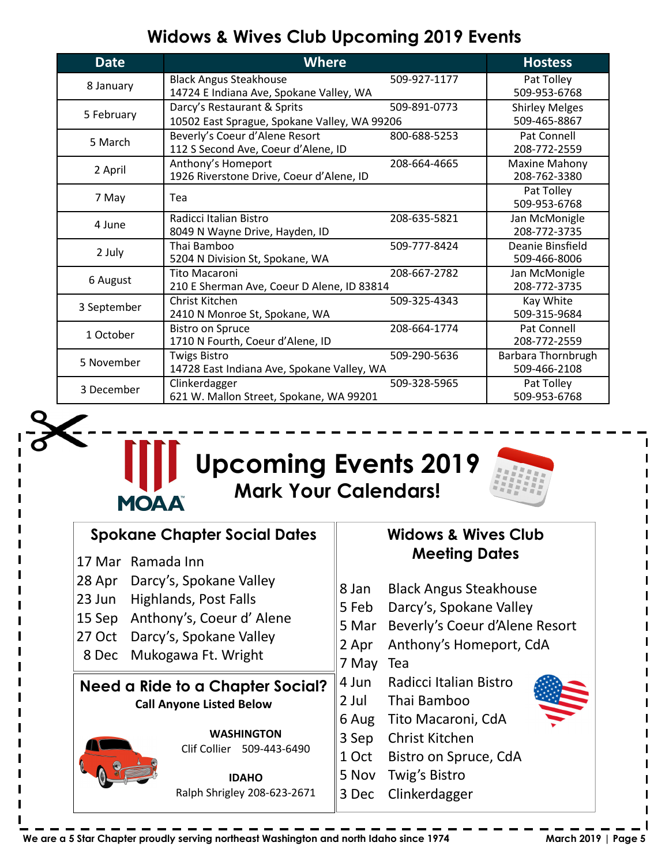#### **Widows & Wives Club Upcoming 2019 Events**

| <b>Date</b>                                                                            | <b>Where</b>                                                                       |                                       | <b>Hostess</b>                     |
|----------------------------------------------------------------------------------------|------------------------------------------------------------------------------------|---------------------------------------|------------------------------------|
| 8 January                                                                              | <b>Black Angus Steakhouse</b><br>14724 E Indiana Ave, Spokane Valley, WA           | 509-927-1177                          | Pat Tolley<br>509-953-6768         |
| 5 February                                                                             | Darcy's Restaurant & Sprits<br>10502 East Sprague, Spokane Valley, WA 99206        | <b>Shirley Melges</b><br>509-465-8867 |                                    |
| 5 March                                                                                | Beverly's Coeur d'Alene Resort<br>112 S Second Ave, Coeur d'Alene, ID              | 800-688-5253                          | Pat Connell<br>208-772-2559        |
| 2 April                                                                                | Anthony's Homeport<br>1926 Riverstone Drive, Coeur d'Alene, ID                     | 208-664-4665                          | Maxine Mahony<br>208-762-3380      |
| 7 May                                                                                  | Tea                                                                                |                                       | Pat Tolley<br>509-953-6768         |
| 4 June                                                                                 | Radicci Italian Bistro<br>8049 N Wayne Drive, Hayden, ID                           | 208-635-5821                          | Jan McMonigle<br>208-772-3735      |
| 2 July                                                                                 | Thai Bamboo<br>5204 N Division St, Spokane, WA                                     | 509-777-8424                          | Deanie Binsfield<br>509-466-8006   |
| 6 August                                                                               | <b>Tito Macaroni</b><br>208-667-2782<br>210 E Sherman Ave, Coeur D Alene, ID 83814 |                                       | Jan McMonigle<br>208-772-3735      |
| 3 September                                                                            | Christ Kitchen<br>2410 N Monroe St, Spokane, WA                                    | 509-325-4343                          | Kay White<br>509-315-9684          |
| 1 October                                                                              | <b>Bistro on Spruce</b><br>1710 N Fourth, Coeur d'Alene, ID                        | 208-664-1774                          | Pat Connell<br>208-772-2559        |
| 5 November                                                                             | <b>Twigs Bistro</b><br>509-290-5636<br>14728 East Indiana Ave, Spokane Valley, WA  |                                       | Barbara Thornbrugh<br>509-466-2108 |
| Clinkerdagger<br>509-328-5965<br>3 December<br>621 W. Mallon Street, Spokane, WA 99201 |                                                                                    | Pat Tolley<br>509-953-6768            |                                    |





| <b>Spokane Chapter Social Dates</b>                                                                                      |                                                                       | <b>Widows &amp; Wives Club</b>                                                                                                 |                                                                                                               |                                                                                                                                                      |  |
|--------------------------------------------------------------------------------------------------------------------------|-----------------------------------------------------------------------|--------------------------------------------------------------------------------------------------------------------------------|---------------------------------------------------------------------------------------------------------------|------------------------------------------------------------------------------------------------------------------------------------------------------|--|
|                                                                                                                          | Ramada Inn<br>17 Mar<br>28 Apr<br>23 Jun<br>15 Sep<br>27 Oct<br>8 Dec | Darcy's, Spokane Valley<br>Highlands, Post Falls<br>Anthony's, Coeur d'Alene<br>Darcy's, Spokane Valley<br>Mukogawa Ft. Wright | 8 Jan<br>5 Feb<br>5 Mar<br>2 Apr<br>7 May                                                                     | <b>Meeting Dates</b><br><b>Black Angus Steakhouse</b><br>Darcy's, Spokane Valley<br>Beverly's Coeur d'Alene Resort<br>Anthony's Homeport, CdA<br>Tea |  |
| Need a Ride to a Chapter Social?<br><b>Call Anyone Listed Below</b><br><b>WASHINGTON</b><br>Clif Collier<br>509-443-6490 |                                                                       | 4 Jun<br>2 Jul<br>6 Aug<br>3 Sep<br>1 Oct                                                                                      | Radicci Italian Bistro<br>Thai Bamboo<br>Tito Macaroni, CdA<br><b>Christ Kitchen</b><br>Bistro on Spruce, CdA |                                                                                                                                                      |  |
|                                                                                                                          |                                                                       | <b>IDAHO</b><br>Ralph Shrigley 208-623-2671                                                                                    | 5 Nov<br>3 Dec                                                                                                | Twig's Bistro<br>Clinkerdagger                                                                                                                       |  |

We are a 5 Star Chapter proudly serving northeast Washington and north Idaho since 1974 March 2019 | Page 5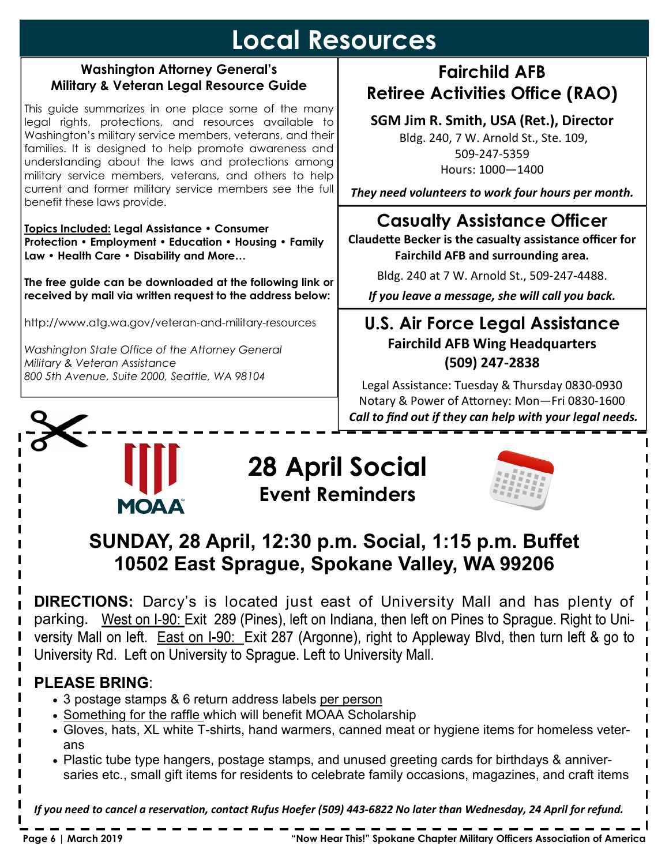### **Local Resources**

#### **Washington Attorney General's Military & Veteran Legal Resource Guide**

This guide summarizes in one place some of the many legal rights, protections, and resources available to Washington's military service members, veterans, and their families. It is designed to help promote awareness and understanding about the laws and protections among military service members, veterans, and others to help current and former military service members see the full benefit these laws provide.

**Topics Included: Legal Assistance • Consumer Protection • Employment • Education • Housing • Family Law • Health Care • Disability and More…** 

**The free guide can be downloaded at the following link or received by mail via written request to the address below:** 

http://www.atg.wa.gov/veteran-and-military-resources

*Washington State Office of the Attorney General Military & Veteran Assistance 800 5th Avenue, Suite 2000, Seattle, WA 98104* 

# **MOAA**

#### **28 April Social Event Reminders**



#### **SUNDAY, 28 April, 12:30 p.m. Social, 1:15 p.m. Buffet 10502 East Sprague, Spokane Valley, WA 99206**

**DIRECTIONS:** Darcy's is located just east of University Mall and has plenty of parking. West on I-90: Exit 289 (Pines), left on Indiana, then left on Pines to Sprague. Right to University Mall on left. East on I-90: Exit 287 (Argonne), right to Appleway Blvd, then turn left & go to University Rd. Left on University to Sprague. Left to University Mall.

#### **PLEASE BRING**:

- 3 postage stamps & 6 return address labels per person
- Something for the raffle which will benefit MOAA Scholarship
- Gloves, hats, XL white T-shirts, hand warmers, canned meat or hygiene items for homeless veterans
- Plastic tube type hangers, postage stamps, and unused greeting cards for birthdays & anniversaries etc., small gift items for residents to celebrate family occasions, magazines, and craft items

*If you need to cancel a reservation, contact Rufus Hoefer (509) 443-6822 No later than Wednesday, 24 April for refund.* 

#### **Fairchild AFB Retiree Activities Office (RAO)**

**SGM Jim R. Smith, USA (Ret.), Director** 

 Bldg. 240, 7 W. Arnold St., Ste. 109, 509-247-5359 Hours: 1000—1400

*They need volunteers to work four hours per month.* 

#### **Casualty Assistance Officer**

**Claudette Becker is the casualty assistance officer for Fairchild AFB and surrounding area.** 

Bldg. 240 at 7 W. Arnold St., 509-247-4488.

*If you leave a message, she will call you back.* 

#### **U.S. Air Force Legal Assistance Fairchild AFB Wing Headquarters (509) 247-2838**

Legal Assistance: Tuesday & Thursday 0830-0930 Notary & Power of Attorney: Mon-Fri 0830-1600  *Call to find out if they can help with your legal needs.*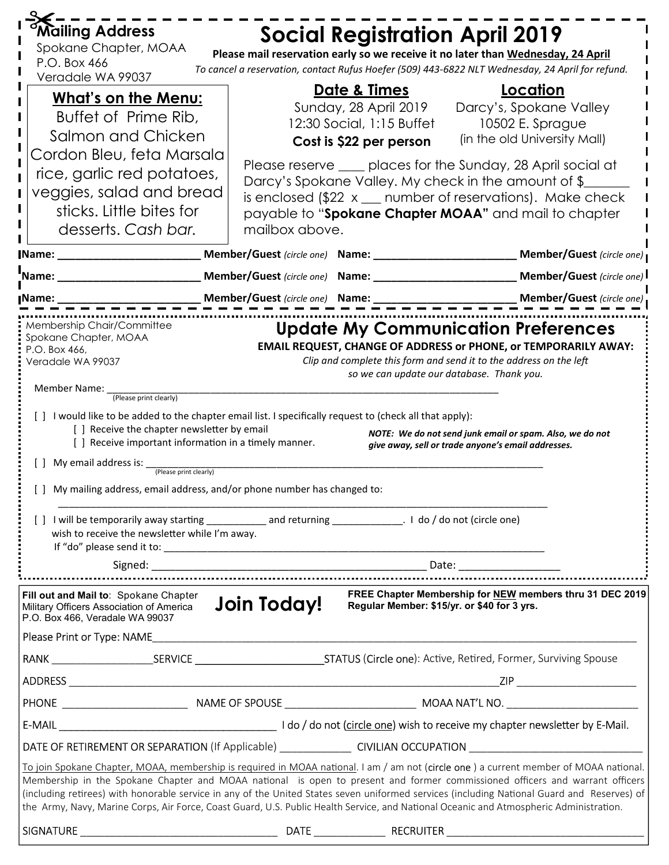| Mailing Address                                                                                                                                                                                                                                                                                                                                                                                                                                                        |                                                                                                                                                                                                                                                               |                                             |                                                                                                                           |  |  |
|------------------------------------------------------------------------------------------------------------------------------------------------------------------------------------------------------------------------------------------------------------------------------------------------------------------------------------------------------------------------------------------------------------------------------------------------------------------------|---------------------------------------------------------------------------------------------------------------------------------------------------------------------------------------------------------------------------------------------------------------|---------------------------------------------|---------------------------------------------------------------------------------------------------------------------------|--|--|
| Spokane Chapter, MOAA                                                                                                                                                                                                                                                                                                                                                                                                                                                  |                                                                                                                                                                                                                                                               |                                             | <b>Social Registration April 2019</b><br>Please mail reservation early so we receive it no later than Wednesday, 24 April |  |  |
| P.O. Box 466                                                                                                                                                                                                                                                                                                                                                                                                                                                           |                                                                                                                                                                                                                                                               |                                             | To cancel a reservation, contact Rufus Hoefer (509) 443-6822 NLT Wednesday, 24 April for refund.                          |  |  |
| Veradale WA 99037                                                                                                                                                                                                                                                                                                                                                                                                                                                      |                                                                                                                                                                                                                                                               | Dat <u>e &amp; Times</u>                    | Location                                                                                                                  |  |  |
| <b>What's on the Menu:</b>                                                                                                                                                                                                                                                                                                                                                                                                                                             |                                                                                                                                                                                                                                                               | Sunday, 28 April 2019                       | Darcy's, Spokane Valley                                                                                                   |  |  |
| Buffet of Prime Rib,                                                                                                                                                                                                                                                                                                                                                                                                                                                   |                                                                                                                                                                                                                                                               | 12:30 Social, 1:15 Buffet                   | 10502 E. Sprague                                                                                                          |  |  |
| Salmon and Chicken                                                                                                                                                                                                                                                                                                                                                                                                                                                     |                                                                                                                                                                                                                                                               | Cost is \$22 per person                     | (in the old University Mall)                                                                                              |  |  |
| Cordon Bleu, feta Marsala<br>rice, garlic red potatoes,                                                                                                                                                                                                                                                                                                                                                                                                                |                                                                                                                                                                                                                                                               |                                             | Please reserve ____ places for the Sunday, 28 April social at                                                             |  |  |
| veggies, salad and bread                                                                                                                                                                                                                                                                                                                                                                                                                                               |                                                                                                                                                                                                                                                               |                                             | Darcy's Spokane Valley. My check in the amount of \$                                                                      |  |  |
| sticks. Little bites for                                                                                                                                                                                                                                                                                                                                                                                                                                               |                                                                                                                                                                                                                                                               |                                             | is enclosed $$22 x _{\dots}$ number of reservations). Make check                                                          |  |  |
| desserts. Cash bar.                                                                                                                                                                                                                                                                                                                                                                                                                                                    | mailbox above.                                                                                                                                                                                                                                                |                                             | payable to "Spokane Chapter MOAA" and mail to chapter                                                                     |  |  |
|                                                                                                                                                                                                                                                                                                                                                                                                                                                                        |                                                                                                                                                                                                                                                               |                                             | Member/Guest (circle one) Name: _________________________________Member/Guest (circle one)                                |  |  |
|                                                                                                                                                                                                                                                                                                                                                                                                                                                                        |                                                                                                                                                                                                                                                               |                                             |                                                                                                                           |  |  |
| Name:                                                                                                                                                                                                                                                                                                                                                                                                                                                                  |                                                                                                                                                                                                                                                               |                                             | Member/Guest (circle one) Name: ______________________________ Member/Guest (circle one)                                  |  |  |
| <b>Name:</b>                                                                                                                                                                                                                                                                                                                                                                                                                                                           | <b>____________ Member/Guest</b> (circle one) Name: ______________                                                                                                                                                                                            |                                             | $\frac{1}{\sqrt{1-\frac{1}{n}}\sqrt{1-\frac{1}{n}}}$ Member/Guest (circle one)                                            |  |  |
| Membership Chair/Committee<br><b>Update My Communication Preferences</b><br>Spokane Chapter, MOAA<br><b>EMAIL REQUEST, CHANGE OF ADDRESS or PHONE, or TEMPORARILY AWAY:</b><br>P.O. Box 466,<br>Clip and complete this form and send it to the address on the left<br>Veradale WA 99037<br>so we can update our database. Thank you.<br>Member Name: (Please print clearly)                                                                                            |                                                                                                                                                                                                                                                               |                                             |                                                                                                                           |  |  |
| [ ] I would like to be added to the chapter email list. I specifically request to (check all that apply):<br>[] Receive the chapter newsletter by email<br>NOTE: We do not send junk email or spam. Also, we do not<br>[ ] Receive important information in a timely manner.<br>give away, sell or trade anyone's email addresses.<br>[ ] My email address is:<br>(Please print clearly)<br>[ ] My mailing address, email address, and/or phone number has changed to: |                                                                                                                                                                                                                                                               |                                             |                                                                                                                           |  |  |
| [] I will be temporarily away starting _______________ and returning ________________. I do / do not (circle one)<br>wish to receive the newsletter while I'm away.                                                                                                                                                                                                                                                                                                    |                                                                                                                                                                                                                                                               |                                             |                                                                                                                           |  |  |
|                                                                                                                                                                                                                                                                                                                                                                                                                                                                        |                                                                                                                                                                                                                                                               |                                             |                                                                                                                           |  |  |
| Fill out and Mail to: Spokane Chapter<br>Military Officers Association of America<br>P.O. Box 466, Veradale WA 99037                                                                                                                                                                                                                                                                                                                                                   | Join Today!                                                                                                                                                                                                                                                   | Regular Member: \$15/yr. or \$40 for 3 yrs. | FREE Chapter Membership for NEW members thru 31 DEC 2019                                                                  |  |  |
|                                                                                                                                                                                                                                                                                                                                                                                                                                                                        |                                                                                                                                                                                                                                                               |                                             |                                                                                                                           |  |  |
|                                                                                                                                                                                                                                                                                                                                                                                                                                                                        |                                                                                                                                                                                                                                                               |                                             |                                                                                                                           |  |  |
|                                                                                                                                                                                                                                                                                                                                                                                                                                                                        |                                                                                                                                                                                                                                                               |                                             |                                                                                                                           |  |  |
|                                                                                                                                                                                                                                                                                                                                                                                                                                                                        |                                                                                                                                                                                                                                                               |                                             |                                                                                                                           |  |  |
|                                                                                                                                                                                                                                                                                                                                                                                                                                                                        |                                                                                                                                                                                                                                                               |                                             |                                                                                                                           |  |  |
|                                                                                                                                                                                                                                                                                                                                                                                                                                                                        |                                                                                                                                                                                                                                                               |                                             |                                                                                                                           |  |  |
|                                                                                                                                                                                                                                                                                                                                                                                                                                                                        | DATE OF RETIREMENT OR SEPARATION (If Applicable) ______________________CIVILIAN OCCUPATION _________________________<br>To join Spokane Chapter, MOAA, membership is required in MOAA national. I am / am not (circle one) a current member of MOAA national. |                                             |                                                                                                                           |  |  |
| Membership in the Spokane Chapter and MOAA national is open to present and former commissioned officers and warrant officers<br>(including retirees) with honorable service in any of the United States seven uniformed services (including National Guard and Reserves) of<br>the Army, Navy, Marine Corps, Air Force, Coast Guard, U.S. Public Health Service, and National Oceanic and Atmospheric Administration.                                                  |                                                                                                                                                                                                                                                               |                                             |                                                                                                                           |  |  |
|                                                                                                                                                                                                                                                                                                                                                                                                                                                                        |                                                                                                                                                                                                                                                               |                                             |                                                                                                                           |  |  |
|                                                                                                                                                                                                                                                                                                                                                                                                                                                                        |                                                                                                                                                                                                                                                               |                                             |                                                                                                                           |  |  |